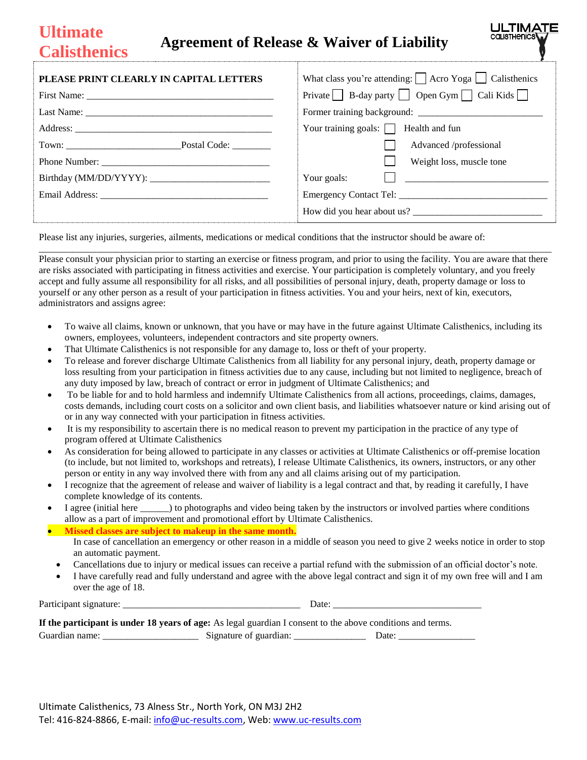## **Ultimate Calisthenics Agreement of Release & Waiver of Liability**

| PLEASE PRINT CLEARLY IN CAPITAL LETTERS | What class you're attending: $\Box$ Acro Yoga $\Box$ Calisthenics |  |
|-----------------------------------------|-------------------------------------------------------------------|--|
|                                         | Private $\Box$ B-day party $\Box$ Open Gym $\Box$ Cali Kids       |  |
|                                         |                                                                   |  |
|                                         | Your training goals: $\Box$ Health and fun                        |  |
| Town: Postal Code:                      | Advanced /professional                                            |  |
|                                         | Weight loss, muscle tone                                          |  |
|                                         | Your goals: $\Box$                                                |  |
|                                         |                                                                   |  |
|                                         | How did you hear about us?                                        |  |

**ULTIMAT** cal Isthenica

Please list any injuries, surgeries, ailments, medications or medical conditions that the instructor should be aware of:

Please consult your physician prior to starting an exercise or fitness program, and prior to using the facility. You are aware that there are risks associated with participating in fitness activities and exercise. Your participation is completely voluntary, and you freely accept and fully assume all responsibility for all risks, and all possibilities of personal injury, death, property damage or loss to yourself or any other person as a result of your participation in fitness activities. You and your heirs, next of kin, executors, administrators and assigns agree:

\_\_\_\_\_\_\_\_\_\_\_\_\_\_\_\_\_\_\_\_\_\_\_\_\_\_\_\_\_\_\_\_\_\_\_\_\_\_\_\_\_\_\_\_\_\_\_\_\_\_\_\_\_\_\_\_\_\_\_\_\_\_\_\_\_\_\_\_\_\_\_\_\_\_\_\_\_\_\_\_\_\_\_\_\_\_\_\_\_\_\_\_\_\_\_\_\_\_\_\_\_\_\_\_\_\_\_

- To waive all claims, known or unknown, that you have or may have in the future against Ultimate Calisthenics, including its owners, employees, volunteers, independent contractors and site property owners.
- That Ultimate Calisthenics is not responsible for any damage to, loss or theft of your property.
- To release and forever discharge Ultimate Calisthenics from all liability for any personal injury, death, property damage or loss resulting from your participation in fitness activities due to any cause, including but not limited to negligence, breach of any duty imposed by law, breach of contract or error in judgment of Ultimate Calisthenics; and
- To be liable for and to hold harmless and indemnify Ultimate Calisthenics from all actions, proceedings, claims, damages, costs demands, including court costs on a solicitor and own client basis, and liabilities whatsoever nature or kind arising out of or in any way connected with your participation in fitness activities.
- It is my responsibility to ascertain there is no medical reason to prevent my participation in the practice of any type of program offered at Ultimate Calisthenics
- As consideration for being allowed to participate in any classes or activities at Ultimate Calisthenics or off-premise location (to include, but not limited to, workshops and retreats), I release Ultimate Calisthenics, its owners, instructors, or any other person or entity in any way involved there with from any and all claims arising out of my participation.
- I recognize that the agreement of release and waiver of liability is a legal contract and that, by reading it carefully, I have complete knowledge of its contents.
- I agree (initial here \_\_\_\_\_\_) to photographs and video being taken by the instructors or involved parties where conditions allow as a part of improvement and promotional effort by Ultimate Calisthenics.

## **Missed classes are subject to makeup in the same month.**

- In case of cancellation an emergency or other reason in a middle of season you need to give 2 weeks notice in order to stop an automatic payment.
- Cancellations due to injury or medical issues can receive a partial refund with the submission of an official doctor's note.
- I have carefully read and fully understand and agree with the above legal contract and sign it of my own free will and I am over the age of 18.

Participant signature: \_\_\_\_\_\_\_\_\_\_\_\_\_\_\_\_\_\_\_\_\_\_\_\_\_\_\_\_\_\_\_\_\_\_\_\_\_ Date: \_\_\_\_\_\_\_\_\_\_\_\_\_\_\_\_\_\_\_\_\_\_\_\_\_\_\_\_\_\_\_

|                | If the participant is under 18 years of age: As legal guardian I consent to the above conditions and terms. |       |
|----------------|-------------------------------------------------------------------------------------------------------------|-------|
| Guardian name: | Signature of guardian:                                                                                      | Date: |